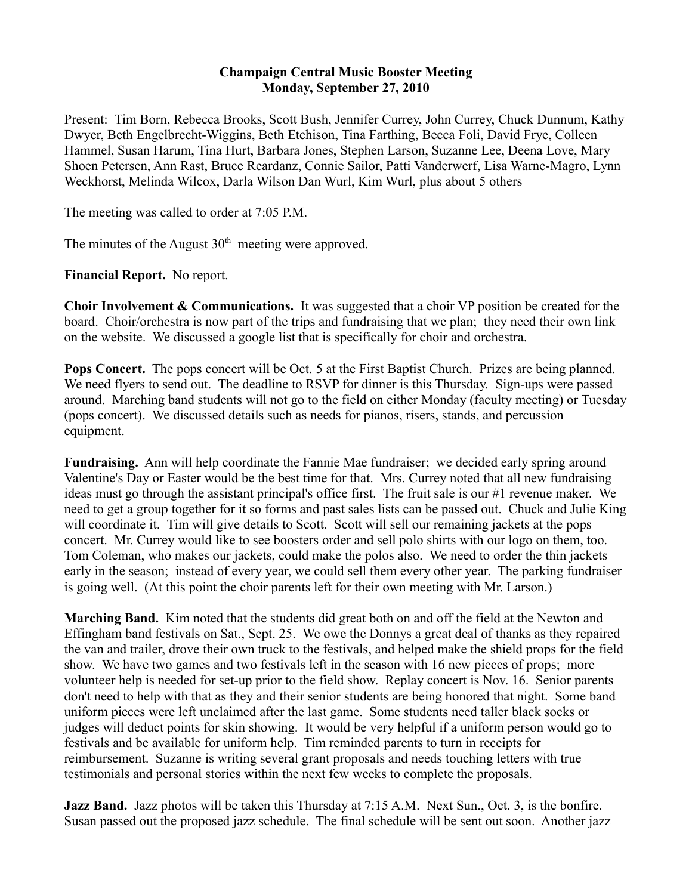## **Champaign Central Music Booster Meeting Monday, September 27, 2010**

Present: Tim Born, Rebecca Brooks, Scott Bush, Jennifer Currey, John Currey, Chuck Dunnum, Kathy Dwyer, Beth Engelbrecht-Wiggins, Beth Etchison, Tina Farthing, Becca Foli, David Frye, Colleen Hammel, Susan Harum, Tina Hurt, Barbara Jones, Stephen Larson, Suzanne Lee, Deena Love, Mary Shoen Petersen, Ann Rast, Bruce Reardanz, Connie Sailor, Patti Vanderwerf, Lisa Warne-Magro, Lynn Weckhorst, Melinda Wilcox, Darla Wilson Dan Wurl, Kim Wurl, plus about 5 others

The meeting was called to order at 7:05 P.M.

The minutes of the August  $30<sup>th</sup>$  meeting were approved.

**Financial Report.** No report.

**Choir Involvement & Communications.** It was suggested that a choir VP position be created for the board. Choir/orchestra is now part of the trips and fundraising that we plan; they need their own link on the website. We discussed a google list that is specifically for choir and orchestra.

**Pops Concert.** The pops concert will be Oct. 5 at the First Baptist Church. Prizes are being planned. We need flyers to send out. The deadline to RSVP for dinner is this Thursday. Sign-ups were passed around. Marching band students will not go to the field on either Monday (faculty meeting) or Tuesday (pops concert). We discussed details such as needs for pianos, risers, stands, and percussion equipment.

**Fundraising.** Ann will help coordinate the Fannie Mae fundraiser; we decided early spring around Valentine's Day or Easter would be the best time for that. Mrs. Currey noted that all new fundraising ideas must go through the assistant principal's office first. The fruit sale is our #1 revenue maker. We need to get a group together for it so forms and past sales lists can be passed out. Chuck and Julie King will coordinate it. Tim will give details to Scott. Scott will sell our remaining jackets at the pops concert. Mr. Currey would like to see boosters order and sell polo shirts with our logo on them, too. Tom Coleman, who makes our jackets, could make the polos also. We need to order the thin jackets early in the season; instead of every year, we could sell them every other year. The parking fundraiser is going well. (At this point the choir parents left for their own meeting with Mr. Larson.)

**Marching Band.** Kim noted that the students did great both on and off the field at the Newton and Effingham band festivals on Sat., Sept. 25. We owe the Donnys a great deal of thanks as they repaired the van and trailer, drove their own truck to the festivals, and helped make the shield props for the field show. We have two games and two festivals left in the season with 16 new pieces of props; more volunteer help is needed for set-up prior to the field show. Replay concert is Nov. 16. Senior parents don't need to help with that as they and their senior students are being honored that night. Some band uniform pieces were left unclaimed after the last game. Some students need taller black socks or judges will deduct points for skin showing. It would be very helpful if a uniform person would go to festivals and be available for uniform help. Tim reminded parents to turn in receipts for reimbursement. Suzanne is writing several grant proposals and needs touching letters with true testimonials and personal stories within the next few weeks to complete the proposals.

**Jazz Band.** Jazz photos will be taken this Thursday at 7:15 A.M. Next Sun., Oct. 3, is the bonfire. Susan passed out the proposed jazz schedule. The final schedule will be sent out soon. Another jazz